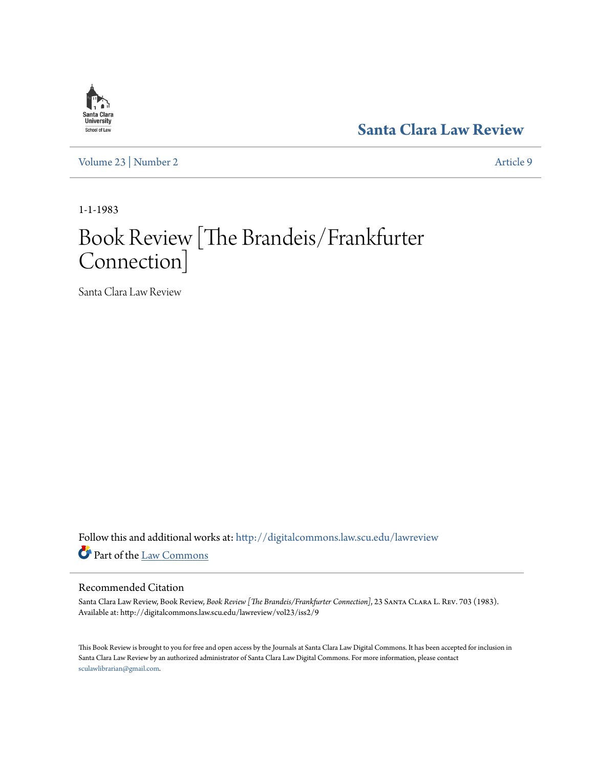## **[Santa Clara Law Review](http://digitalcommons.law.scu.edu/lawreview?utm_source=digitalcommons.law.scu.edu%2Flawreview%2Fvol23%2Fiss2%2F9&utm_medium=PDF&utm_campaign=PDFCoverPages)**

**Santa Clara**<br>**University** School of Law

[Volume 23](http://digitalcommons.law.scu.edu/lawreview/vol23?utm_source=digitalcommons.law.scu.edu%2Flawreview%2Fvol23%2Fiss2%2F9&utm_medium=PDF&utm_campaign=PDFCoverPages) | [Number 2](http://digitalcommons.law.scu.edu/lawreview/vol23/iss2?utm_source=digitalcommons.law.scu.edu%2Flawreview%2Fvol23%2Fiss2%2F9&utm_medium=PDF&utm_campaign=PDFCoverPages) [Article 9](http://digitalcommons.law.scu.edu/lawreview/vol23/iss2/9?utm_source=digitalcommons.law.scu.edu%2Flawreview%2Fvol23%2Fiss2%2F9&utm_medium=PDF&utm_campaign=PDFCoverPages)

1-1-1983

# Book Review [The Brandeis/Frankfurter Connection]

Santa Clara Law Review

Follow this and additional works at: [http://digitalcommons.law.scu.edu/lawreview](http://digitalcommons.law.scu.edu/lawreview?utm_source=digitalcommons.law.scu.edu%2Flawreview%2Fvol23%2Fiss2%2F9&utm_medium=PDF&utm_campaign=PDFCoverPages) Part of the [Law Commons](http://network.bepress.com/hgg/discipline/578?utm_source=digitalcommons.law.scu.edu%2Flawreview%2Fvol23%2Fiss2%2F9&utm_medium=PDF&utm_campaign=PDFCoverPages)

#### Recommended Citation

Santa Clara Law Review, Book Review, Book Review [The Brandeis/Frankfurter Connection], 23 SANTA CLARA L. REV. 703 (1983). Available at: http://digitalcommons.law.scu.edu/lawreview/vol23/iss2/9

This Book Review is brought to you for free and open access by the Journals at Santa Clara Law Digital Commons. It has been accepted for inclusion in Santa Clara Law Review by an authorized administrator of Santa Clara Law Digital Commons. For more information, please contact [sculawlibrarian@gmail.com](mailto:sculawlibrarian@gmail.com).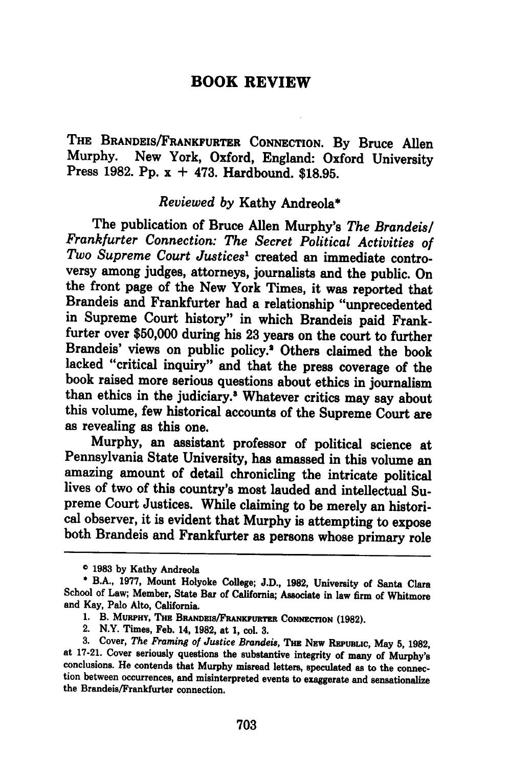### **BOOK REVIEW**

THE BRANDEIS/FRANKFURTER **CONNECTION. By** Bruce Allen Murphy. New York, Oxford, England: Oxford University Press **1982. Pp.** x **+** 473. Hardbound. **\$18.95.**

#### *Reviewed by* Kathy Andreola\*

The publication of Bruce Allen Murphy's *The Brandeis/ Frankfurter Connection: The Secret Political Activities of Two Supreme Court Justices'* created an immediate controversy among judges, attorneys, journalists and the public. On the front page of the New York Times, it was reported that Brandeis and Frankfurter had a relationship "unprecedented in Supreme Court history" in which Brandeis paid Frankfurter over **\$50,000** during his **23** years on the court to further Brandeis' views on public policy.' Others claimed the book lacked "critical inquiry" and that the press coverage of the book raised more serious questions about ethics in journalism than ethics in the judiciary.<sup>3</sup> Whatever critics may say about this volume, few historical accounts of the Supreme Court are as revealing as this one.

Murphy, an assistant professor of political science at Pennsylvania State University, has amassed in this volume an amazing amount of detail chronicling the intricate political lives of two of this country's most lauded and intellectual Supreme Court Justices. While claiming to be merely an historiboth Brandeis and Frankfurter as persons whose primary role

o **1983 by** Kathy Andreola

**<sup>\*</sup>** B.A., **1977,** Mount Holyoke College; **J.D., 1982,** University of Santa Clara School of Law; Member, State Bar of California; Associate in law firm of Whitmore and Kay, Palo Alto, California.

<sup>1.</sup> B. MURPHY, THE BRANDEIS/FRANKFURTER CONNECTION (1982).<br>2. N.Y. Times, Feb. 14, 1982, at 1, col. 3.<br>3. Cover, *The Framing of Justice Brandeis*, THE NEW REPUBLIC, May 5, 1982, at 17-21. Cover seriously questions the substantive integrity of many of Murphy's conclusions. He contends that Murphy misread letters, speculated as to the connection between occurrences, and misinterpreted events to exag the Brandeis/Frankfurter connection.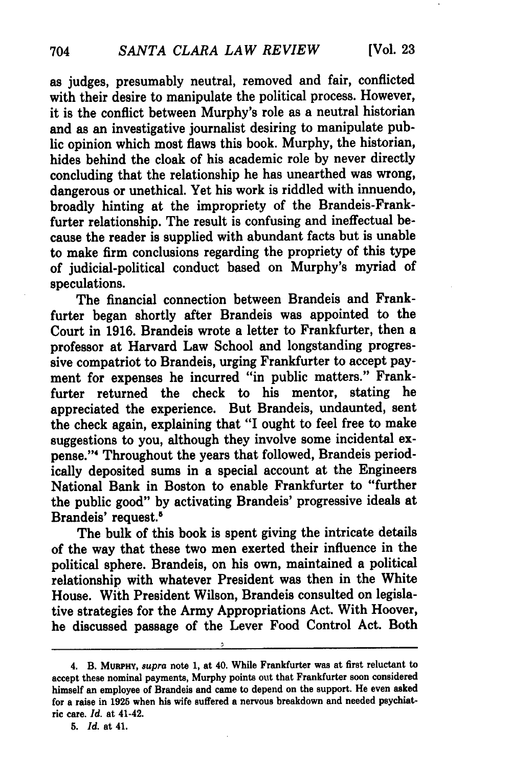as judges, presumably neutral, removed and fair, conflicted with their desire to manipulate the political process. However, it is the conflict between Murphy's role as a neutral historian and as an investigative journalist desiring to manipulate public opinion which most flaws this book. Murphy, the historian, hides behind the cloak of his academic role by never directly concluding that the relationship he has unearthed was wrong, dangerous or unethical. Yet his work is riddled with innuendo, broadly hinting at the impropriety of the Brandeis-Frankfurter relationship. The result is confusing and ineffectual because the reader is supplied with abundant facts but is unable to make firm conclusions regarding the propriety of this type of judicial-political conduct based on Murphy's myriad of speculations.

The financial connection between Brandeis and Frankfurter began shortly after Brandeis was appointed to the Court in 1916. Brandeis wrote a letter to Frankfurter, then a professor at Harvard Law School and longstanding progressive compatriot to Brandeis, urging Frankfurter to accept payment for expenses he incurred "in public matters." Frankfurter returned the check to his mentor, stating he appreciated the experience. But Brandeis, undaunted, sent the check again, explaining that "I ought to feel free to make suggestions to you, although they involve some incidental expense."<sup>4</sup> Throughout the years that followed, Brandeis periodically deposited sums in a special account at the Engineers National Bank in Boston to enable Frankfurter to "further the public good" by activating Brandeis' progressive ideals at Brandeis' request.<sup>5</sup>

The bulk of this book is spent giving the intricate details of the way that these two men exerted their influence in the political sphere. Brandeis, on his own, maintained a political relationship with whatever President was then in the White House. With President Wilson, Brandeis consulted on legislative strategies for the Army Appropriations Act. With Hoover, he discussed passage of the Lever Food Control Act. Both

<sup>4.</sup> B. MURPHY, *supra* note 1, at 40. While Frankfurter was at first reluctant to accept these nominal payments, Murphy points out that Frankfurter soon considered himself an employee of Brandeis and came to depend on the support. He even asked for a raise in **1925** when his wife suffered a nervous breakdown and needed psychiatric care. *Id.* at 41-42.

**<sup>5.</sup>** *Id.* at 41.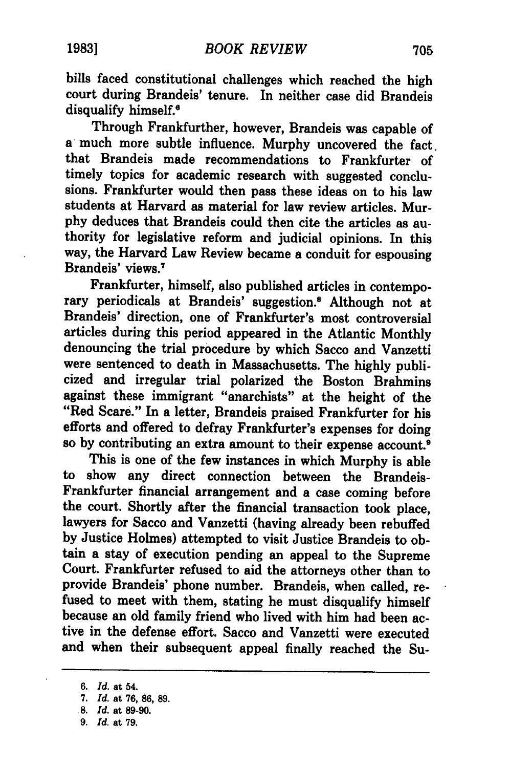bills faced constitutional challenges which reached the high court during Brandeis' tenure. In neither case did Brandeis disqualify himself.<sup>6</sup>

Through Frankfurther, however, Brandeis was capable of a much more subtle influence. Murphy uncovered the fact. that Brandeis made recommendations to Frankfurter of timely topics for academic research with suggested conclusions. Frankfurter would then pass these ideas on to his law students at Harvard as material for law review articles. Mur**phy** deduces that Brandeis could then cite the articles as authority for legislative reform and judicial opinions. In this way, the Harvard Law Review became a conduit for espousing Brandeis' views.'

Frankfurter, himself, also published articles in contemporary periodicals at Brandeis' suggestion.8 Although not at Brandeis' direction, one of Frankfurter's most controversial articles during this period appeared in the Atlantic Monthly denouncing the trial procedure **by** which Sacco and Vanzetti were sentenced to death in Massachusetts. The **highly** publicized and irregular trial polarized the Boston Brahmins against these immigrant "anarchists" at the height of the "Red Scare." In a letter, Brandeis praised Frankfurter for his efforts and offered to defray Frankfurter's expenses for doing so **by** contributing an extra amount to their expense account.

This is one of the few instances in which Murphy is able to show any direct connection between the Brandeis-Frankfurter financial arrangement and a case coming before the court. Shortly after the financial transaction took place, lawyers for Sacco and Vanzetti (having already been rebuffed **by** Justice Holmes) attempted to visit Justice Brandeis to obtain a stay of execution pending an appeal to the Supreme Court. Frankfurter refused to aid the attorneys other than to provide Brandeis' phone number. Brandeis, when called, refused to meet with them, stating he must disqualify himself because an old family friend who lived with him had been active in the defense effort. Sacco and Vanzetti were executed and when their subsequent appeal finally reached the Su-

*<sup>6.</sup> Id.* at 54.

*<sup>7.</sup> Id.* at **76, 86, 89.**

**<sup>.8.</sup>** *Id.* at **89-90.**

*<sup>9.</sup> Id.* at **79.**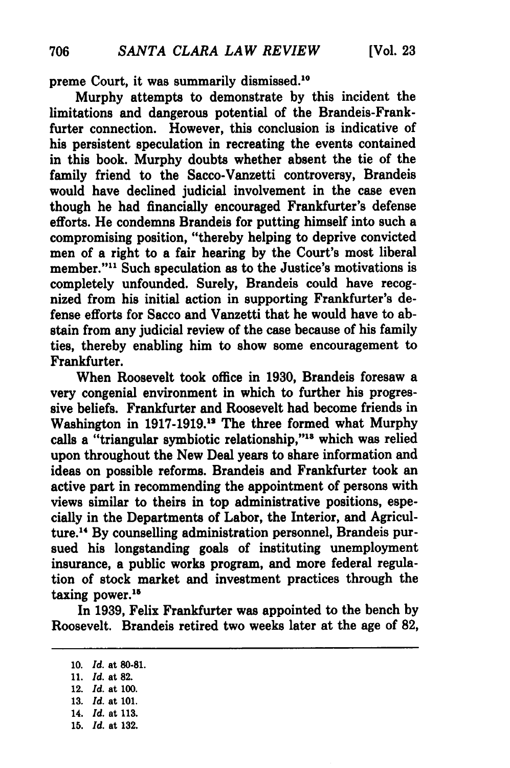preme Court, it was summarily dismissed.<sup>10</sup>

Murphy attempts to demonstrate **by** this incident the limitations and dangerous potential of the Brandeis-Frankfurter connection. However, this conclusion is indicative of his persistent speculation in recreating the events contained in this book. Murphy doubts whether absent the tie of the family friend to the Sacco-Vanzetti controversy, Brandeis would have declined judicial involvement in the case even though he had financially encouraged Frankfurter's defense efforts. He condemns Brandeis for putting himself into such a compromising position, "thereby helping to deprive convicted men of a right to a fair hearing **by** the Court's most liberal member."<sup>11</sup> Such speculation as to the Justice's motivations is completely unfounded. Surely, Brandeis could have recognized from his initial action in supporting Frankfurter's defense efforts for Sacco and Vanzetti that he would have to abstain from any judicial review of the case because of his family ties, thereby enabling him to show some encouragement to Frankfurter.

When Roosevelt took office in **1930,** Brandeis foresaw a very congenial environment in which to further his progressive beliefs. Frankfurter and Roosevelt had become friends in Washington in **1917-1919.12** The three formed what Murphy calls a "triangular symbiotic relationship,"<sup>13</sup> which was relied upon throughout the New Deal years to share information and ideas on possible reforms. Brandeis and Frankfurter took an active part in recommending the appointment of persons with views similar to theirs in top administrative positions, especially in the Departments of Labor, the Interior, and Agriculture.<sup>14</sup> By counselling administration personnel, Brandeis pursued his longstanding goals of instituting unemployment insurance, a public works program, and more federal regulation of stock market and investment practices through the taxing power.<sup>15</sup>

In **1939,** Felix Frankfurter was appointed to the bench **by** Roosevelt. Brandeis retired two weeks later at the age of **82,**

- **11.** *Id.* at **82.** 12. *Id.* at **100. 13.** *Id.* at **101.**
- 14. *Id.* at **113.**
- **15.** *Id.* at **132.**

**<sup>10.</sup>** *Id.* at **80-81.**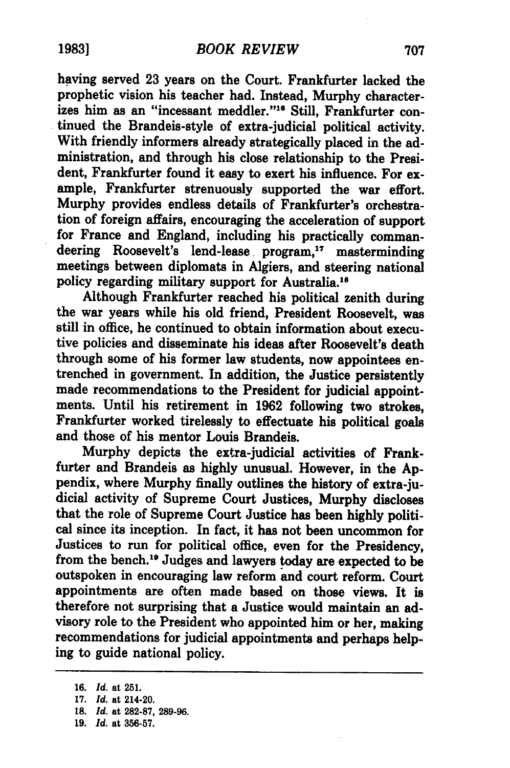having served **23** years on the Court. Frankfurter lacked the prophetic vision his teacher had. Instead, Murphy characterizes him as an "incessant meddler."<sup>16</sup> Still, Frankfurter continued the Brandeis-style of extra-judicial political activity. With friendly informers already strategically placed in the administration, and through his close relationship to the President, Frankfurter found it easy to exert his influence. For example, Frankfurter strenuously supported the war effort. Murphy provides endless details of Frankfurter's orchestration of foreign affairs, encouraging the acceleration of support for France and England, including his practically commandeering Roosevelt's lend-lease program,<sup>17</sup> masterminding meetings between diplomats in Algiers, and steering national policy regarding military support for Australia.<sup>16</sup>

Although Frankfurter reached his political zenith during the war years while his old friend, President Roosevelt, was still in office, he continued to obtain information about executive policies and disseminate his ideas after Roosevelt's death through some of his former law students, now appointees entrenched in government. In addition, the Justice persistently made recommendations to the President for judicial appointments. Until his retirement in **1962** following two strokes, Frankfurter worked tirelessly to effectuate his political goals and those of his mentor Louis Brandeis.

Murphy depicts the extra-judicial activities of Frankfurter and Brandeis as **highly** unusual. However, in the **Ap**pendix, where Murphy finally outlines the history of extra-judicial activity of Supreme Court Justices, Murphy discloses that the role of Supreme Court Justice has been **highly** political since its inception. In fact, it has not been uncommon for Justices to run for political office, even for the Presidency, from the bench.<sup>19</sup> Judges and lawyers today are expected to be outspoken in encouraging law reform and court reform. Court appointments are often made based on those views. It is therefore not surprising that a Justice would maintain an advisory role to the President who appointed him or her, making recommendations for judicial appointments and perhaps helping to guide national policy.

- **18.** *Id.* at **282-87, 289-96.**
- **19.** *Id.* at **356-57.**

**<sup>16.</sup>** *Id.* at **251.**

**<sup>17.</sup>** *Id.* at 214-20.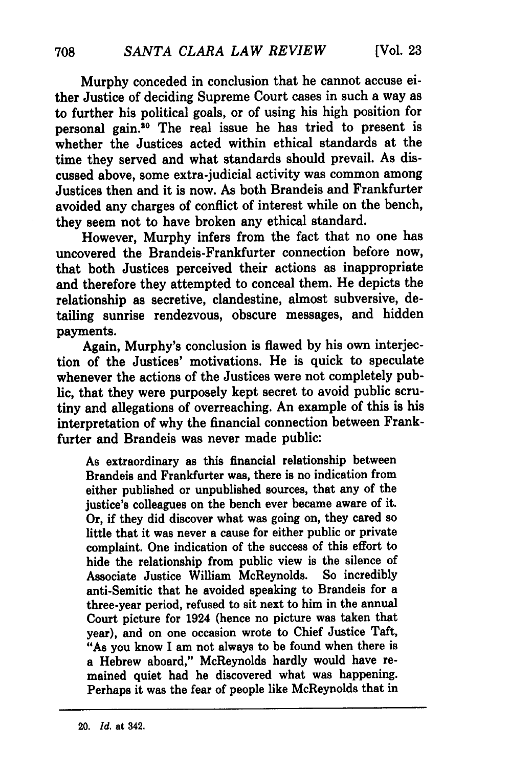Murphy conceded in conclusion that he cannot accuse either Justice of deciding Supreme Court cases in such a way as to further his political goals, or of using his high position for personal gain.<sup>20</sup> The real issue he has tried to present is whether the Justices acted within ethical standards at the time they served and what standards should prevail. As discussed above, some extra-judicial activity was common among Justices then and it is now. As both Brandeis and Frankfurter avoided any charges of conflict of interest while on the bench, they seem not to have broken any ethical standard.

However, Murphy infers from the fact that no one has uncovered the Brandeis-Frankfurter connection before now, that both Justices perceived their actions as inappropriate and therefore they attempted to conceal them. He depicts the relationship as secretive, clandestine, almost subversive, detailing sunrise rendezvous, obscure messages, and hidden payments.

Again, Murphy's conclusion is flawed by his own interjection of the Justices' motivations. He is quick to speculate whenever the actions of the Justices were not completely public, that they were purposely kept secret to avoid public scrutiny and allegations of overreaching. An example of this is his interpretation of why the financial connection between Frankfurter and Brandeis was never made public:

As extraordinary as this financial relationship between Brandeis and Frankfurter was, there is no indication from either published or unpublished sources, that any of the justice's colleagues on the bench ever became aware of it. Or, if they did discover what was going on, they cared so little that it was never a cause for either public or private complaint. One indication of the success of this effort to hide the relationship from public view is the silence of Associate Justice William McReynolds. So incredibly anti-Semitic that he avoided speaking to Brandeis for a three-year period, refused to sit next to him in the annual Court picture for 1924 (hence no picture was taken that year), and on one occasion wrote to Chief Justice Taft, "As you know I am not always to be found when there is a Hebrew aboard," McReynolds hardly would have remained quiet had he discovered what was happening. Perhaps it was the fear of people like McReynolds that in